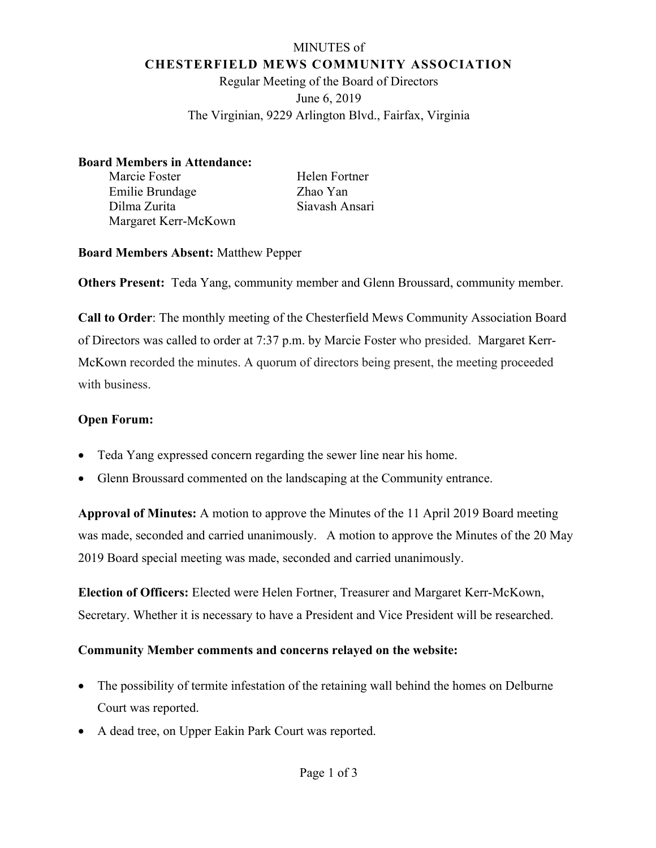## MINUTES of **CHESTERFIELD MEWS COMMUNITY ASSOCIATION**

Regular Meeting of the Board of Directors June 6, 2019 The Virginian, 9229 Arlington Blvd., Fairfax, Virginia

### **Board Members in Attendance:**

| Marcie Foster        |  |
|----------------------|--|
| Emilie Brundage      |  |
| Dilma Zurita         |  |
| Margaret Kerr-McKown |  |

Helen Fortner Zhao Yan Siavash Ansari

## **Board Members Absent:** Matthew Pepper

**Others Present:** Teda Yang, community member and Glenn Broussard, community member.

**Call to Order**: The monthly meeting of the Chesterfield Mews Community Association Board of Directors was called to order at 7:37 p.m. by Marcie Foster who presided. Margaret Kerr-McKown recorded the minutes. A quorum of directors being present, the meeting proceeded with business.

# **Open Forum:**

- Teda Yang expressed concern regarding the sewer line near his home.
- Glenn Broussard commented on the landscaping at the Community entrance.

**Approval of Minutes:** A motion to approve the Minutes of the 11 April 2019 Board meeting was made, seconded and carried unanimously. A motion to approve the Minutes of the 20 May 2019 Board special meeting was made, seconded and carried unanimously.

**Election of Officers:** Elected were Helen Fortner, Treasurer and Margaret Kerr-McKown, Secretary. Whether it is necessary to have a President and Vice President will be researched.

## **Community Member comments and concerns relayed on the website:**

- The possibility of termite infestation of the retaining wall behind the homes on Delburne Court was reported.
- A dead tree, on Upper Eakin Park Court was reported.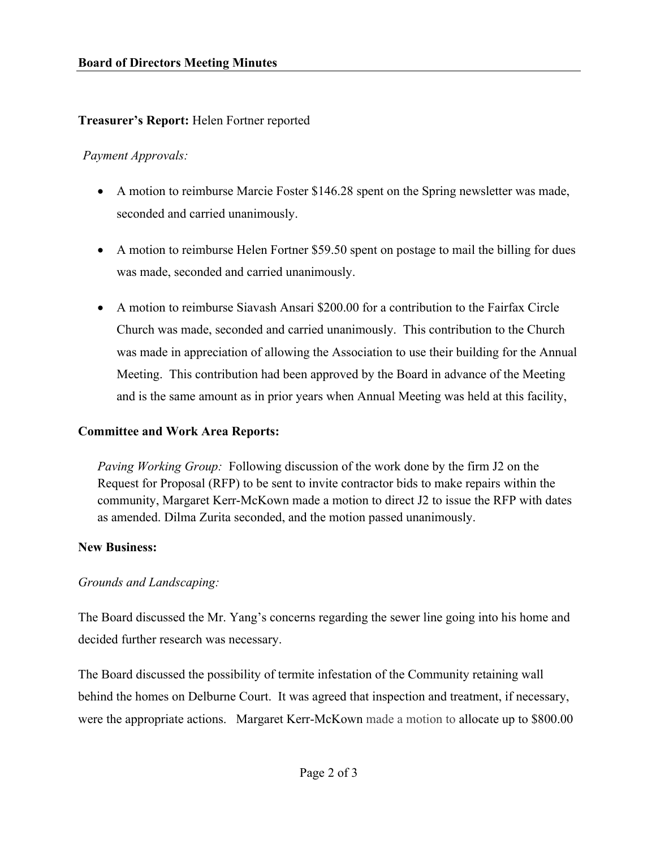### **Treasurer's Report:** Helen Fortner reported

### *Payment Approvals:*

- A motion to reimburse Marcie Foster \$146.28 spent on the Spring newsletter was made, seconded and carried unanimously.
- A motion to reimburse Helen Fortner \$59.50 spent on postage to mail the billing for dues was made, seconded and carried unanimously.
- A motion to reimburse Siavash Ansari \$200.00 for a contribution to the Fairfax Circle Church was made, seconded and carried unanimously. This contribution to the Church was made in appreciation of allowing the Association to use their building for the Annual Meeting. This contribution had been approved by the Board in advance of the Meeting and is the same amount as in prior years when Annual Meeting was held at this facility,

#### **Committee and Work Area Reports:**

*Paving Working Group:* Following discussion of the work done by the firm J2 on the Request for Proposal (RFP) to be sent to invite contractor bids to make repairs within the community, Margaret Kerr-McKown made a motion to direct J2 to issue the RFP with dates as amended. Dilma Zurita seconded, and the motion passed unanimously.

#### **New Business:**

### *Grounds and Landscaping:*

The Board discussed the Mr. Yang's concerns regarding the sewer line going into his home and decided further research was necessary.

The Board discussed the possibility of termite infestation of the Community retaining wall behind the homes on Delburne Court. It was agreed that inspection and treatment, if necessary, were the appropriate actions. Margaret Kerr-McKown made a motion to allocate up to \$800.00